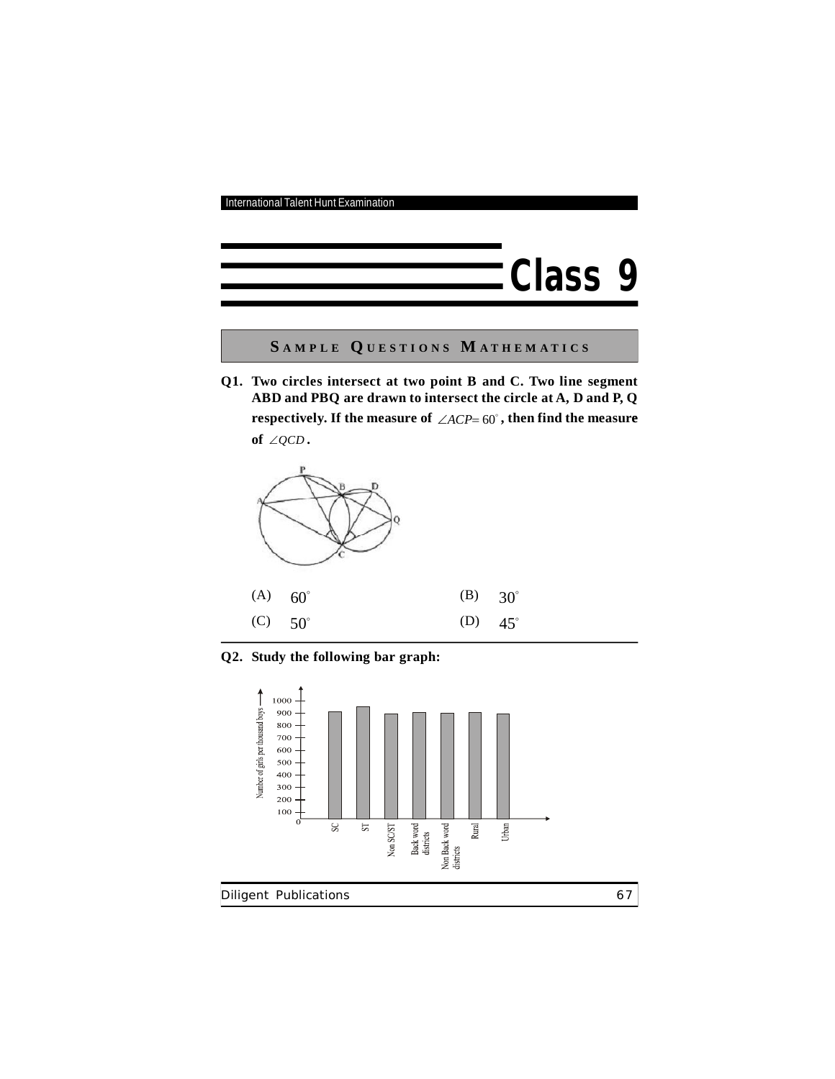

**S A M P L E Q U E S T I O N S M A T H E M A T I C S**

**Q1. Two circles intersect at two point B and C. Two line segment ABD and PBQ are drawn to intersect the circle at A, D and P, Q** respectively. If the measure of  $\angle ACP = 60^{\circ}$  , then find the measure of  $\angle QCD$ .



**Q2. Study the following bar graph:**

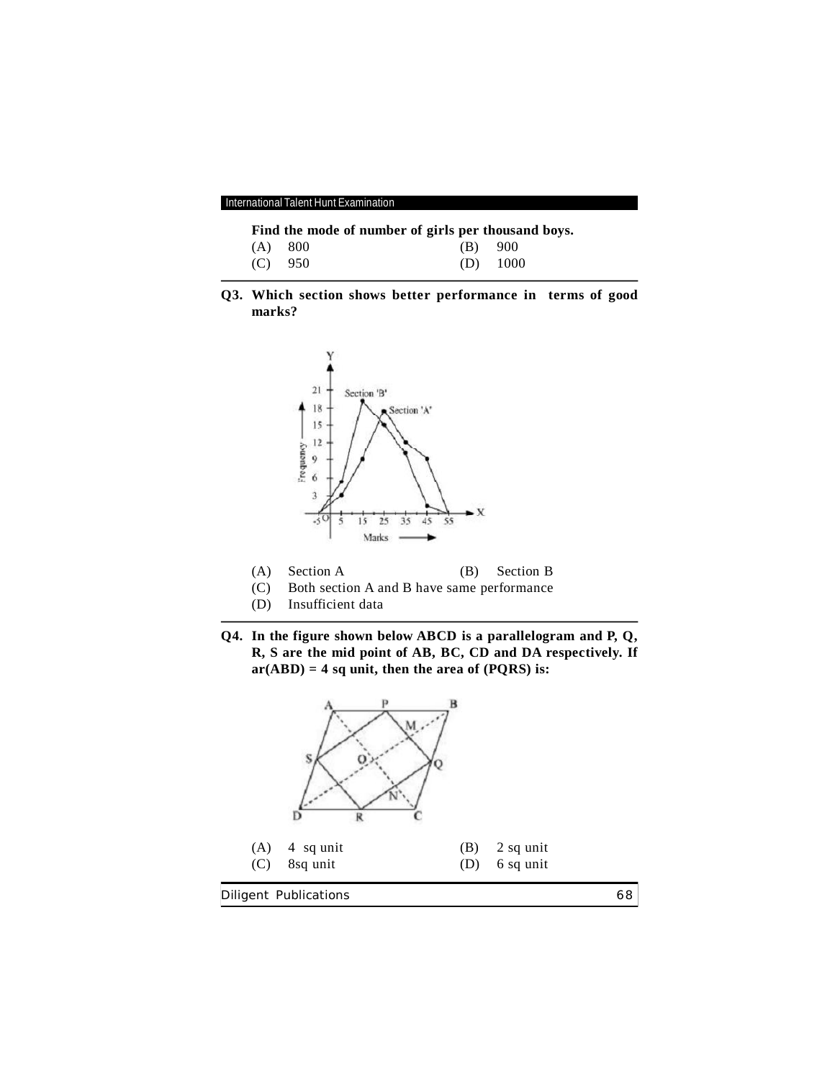International Talent Hunt Examination

**Find the mode of number of girls per thousand boys.**<br>(A) 800 (B) 900

| $(A)$ 800 | $(B)$ 900 |            |
|-----------|-----------|------------|
| $(C)$ 950 |           | $(D)$ 1000 |

**Q3. Which section shows better performance in terms of good marks?**



- (A) Section A (B) Section B
- (C) Both section A and B have same performance
- (D) Insufficient data
- **Q4. In the figure shown below ABCD is a parallelogram and P, Q, R, S are the mid point of AB, BC, CD and DA respectively. If ar(ABD) = 4 sq unit, then the area of (PQRS) is:**

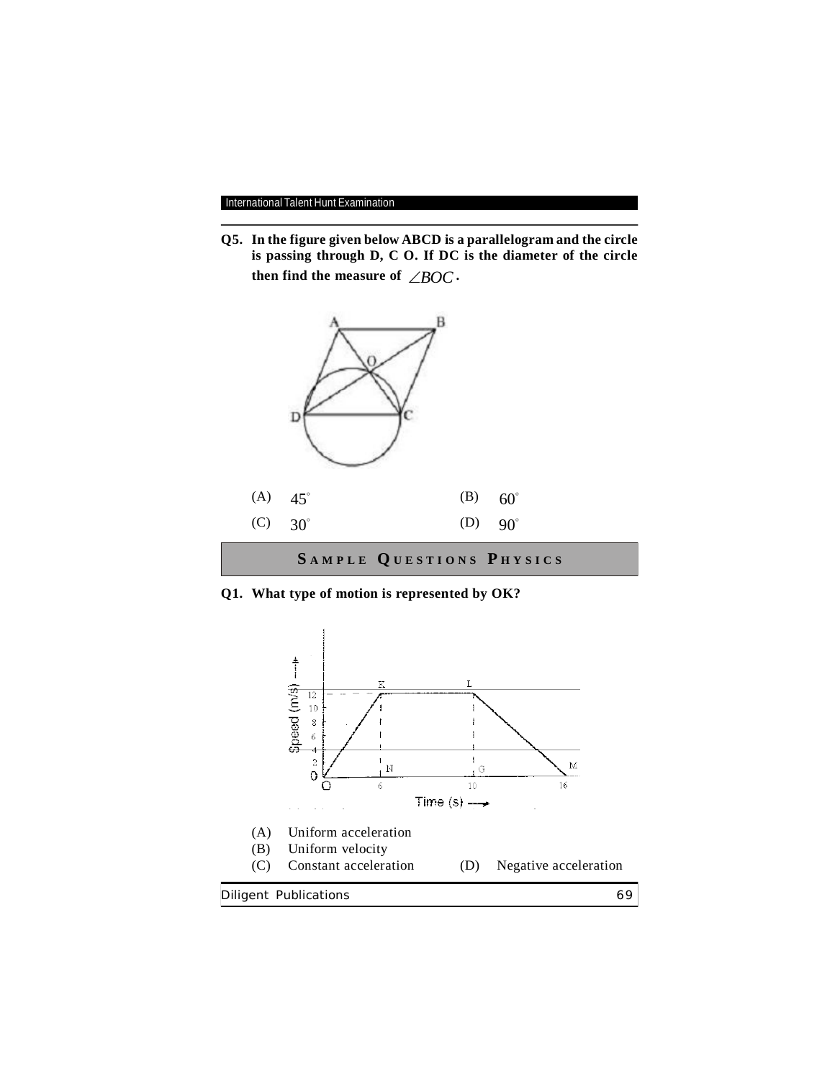**Q5. In the figure given below ABCD is a parallelogram and the circle is passing through D, C O. If DC is the diameter of the circle then find the measure of**  $\angle BOC$ **.** 



**Q1. What type of motion is represented by OK?**

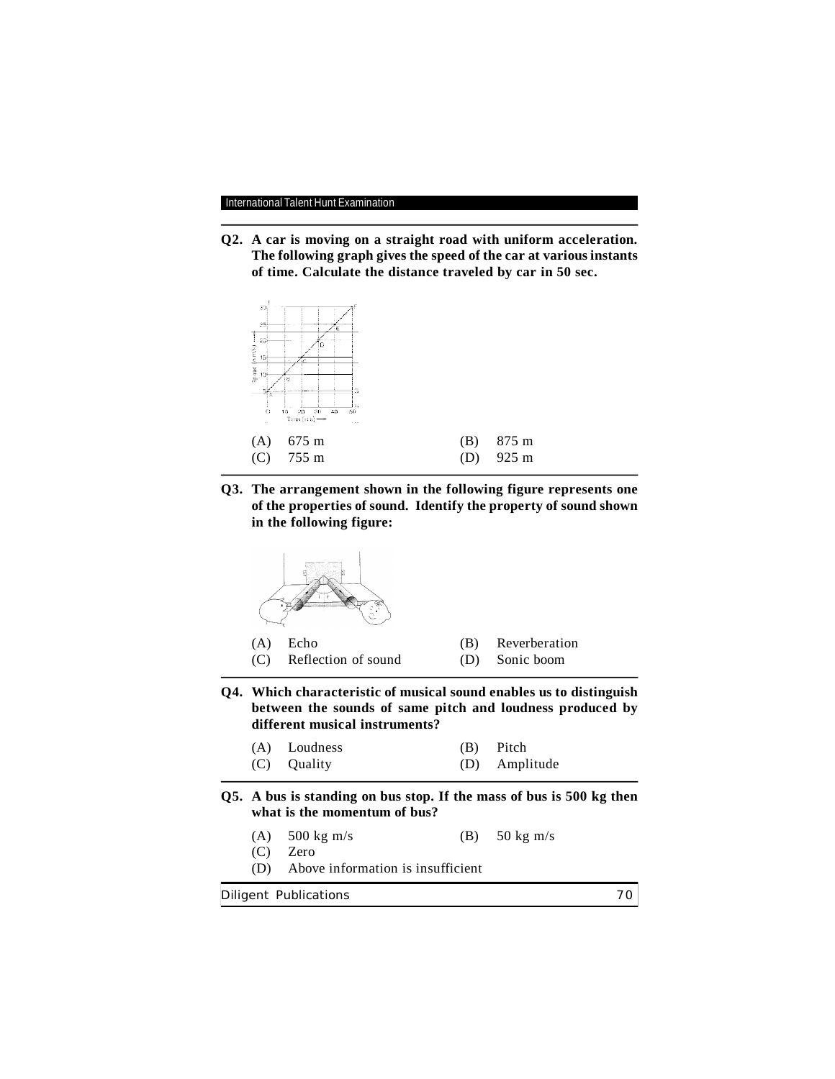**Q2. A car is moving on a straight road with uniform acceleration. The following graph gives the speed of the car at various instants of time. Calculate the distance traveled by car in 50 sec.**



**Q3. The arrangement shown in the following figure represents one of the properties of sound. Identify the property of sound shown in the following figure:**

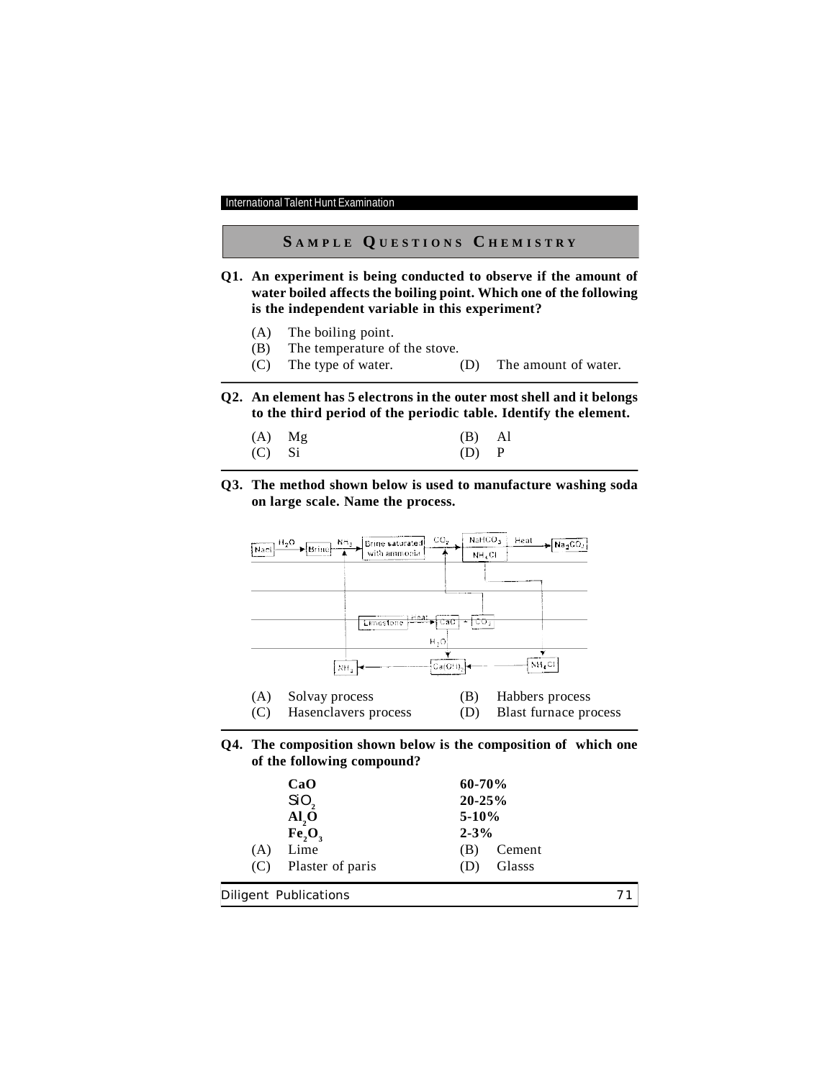# **S A M P L E Q U E S T I O N S C H E M I S T R Y**

- **Q1. An experiment is being conducted to observe if the amount of water boiled affects the boiling point. Which one of the following is the independent variable in this experiment?**
	- (A) The boiling point.
	- (B) The temperature of the stove.
	- (C) The type of water. (D) The amount of water.
- **Q2. An element has 5 electrons in the outer most shell and it belongs to the third period of the periodic table. Identify the element.**

| $(A)$ Mg | $(B)$ Al  |  |
|----------|-----------|--|
| $(C)$ Si | $(D)$ $P$ |  |

**Q3. The method shown below is used to manufacture washing soda on large scale. Name the process.**



**Q4. The composition shown below is the composition of which one of the following compound?**

| CaO                     | $60 - 70%$ |               |  |
|-------------------------|------------|---------------|--|
| SiO,                    | $20 - 25%$ |               |  |
| AI, O                   | $5-10%$    |               |  |
| Fe, O,                  | $2 - 3\%$  |               |  |
| Lime<br>(A)             | (B)        | Cement        |  |
| Plaster of paris<br>(C) | (D)        | <b>Glasss</b> |  |
|                         |            |               |  |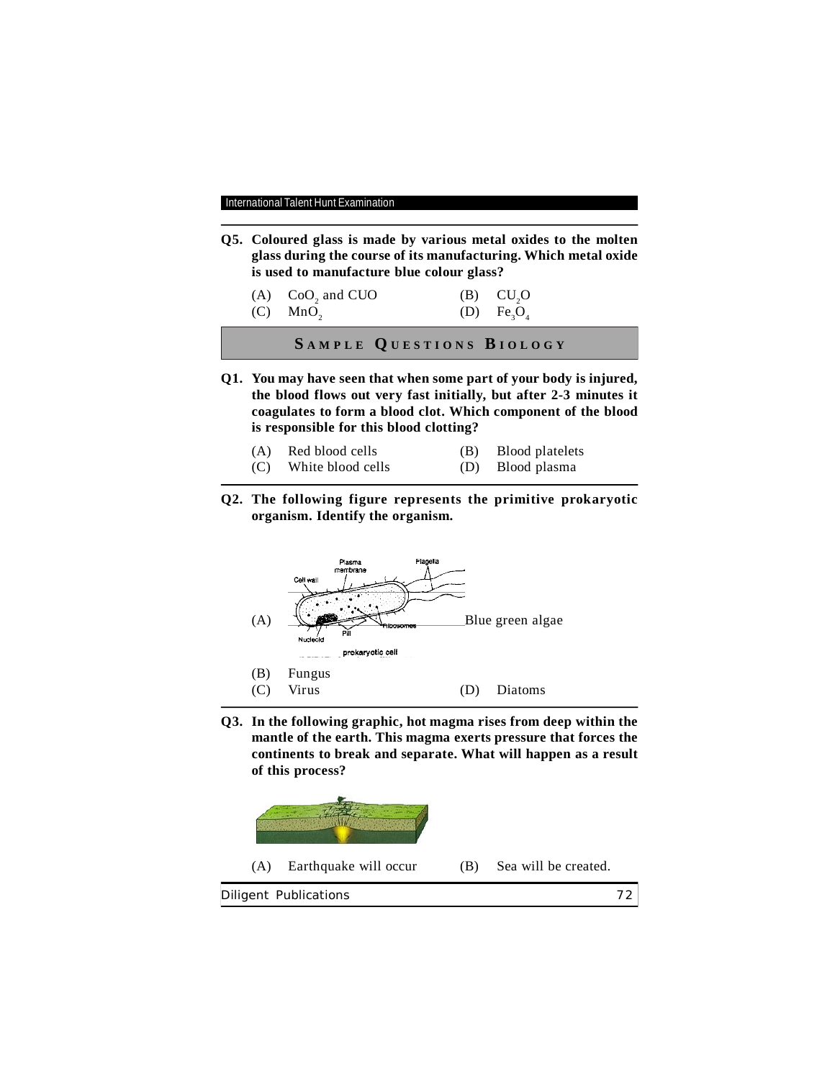**Q5. Coloured glass is made by various metal oxides to the molten glass during the course of its manufacturing. Which metal oxide is used to manufacture blue colour glass?**

| $(A)$ CoO <sub>2</sub> and CUO | $(B)$ $CU, O$ |
|--------------------------------|---------------|
| $(C)$ MnO <sub>2</sub>         | (D) $Fe_3O_4$ |

**S A M P L E Q U E S T I O N S B I O L O G Y**

**Q1. You may have seen that when some part of your body is injured, the blood flows out very fast initially, but after 2-3 minutes it coagulates to form a blood clot. Which component of the blood is responsible for this blood clotting?**

| (A) Red blood cells   | (B) Blood platelets |
|-----------------------|---------------------|
| (C) White blood cells | (D) Blood plasma    |

**Q2. The following figure represents the primitive prokaryotic organism. Identify the organism.**



**Q3. In the following graphic, hot magma rises from deep within the mantle of the earth. This magma exerts pressure that forces the continents to break and separate. What will happen as a result of this process?**

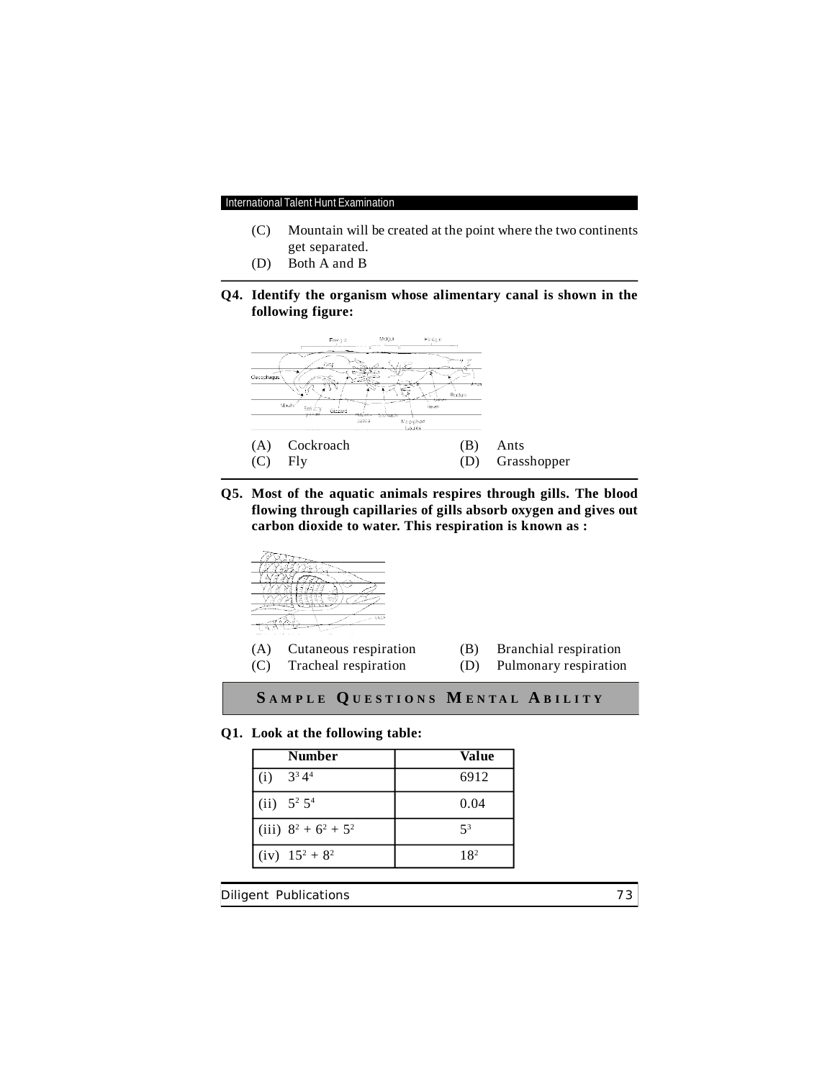- (C) Mountain will be created at the point where the two continents get separated.
- (D) Both A and B
- **Q4. Identify the organism whose alimentary canal is shown in the following figure:**



**Q5. Most of the aquatic animals respires through gills. The blood flowing through capillaries of gills absorb oxygen and gives out carbon dioxide to water. This respiration is known as :**



## **Q1. Look at the following table:**

| <b>Number</b>                           | Value           |
|-----------------------------------------|-----------------|
| (i) $3^3 4^4$                           | 6912            |
| (ii) $5^2 5^4$                          | 0.04            |
| (iii) $8^2 + 6^2 + 5^2$                 | $5^3$           |
| $(iv)$ 15 <sup>2</sup> + 8 <sup>2</sup> | 18 <sup>2</sup> |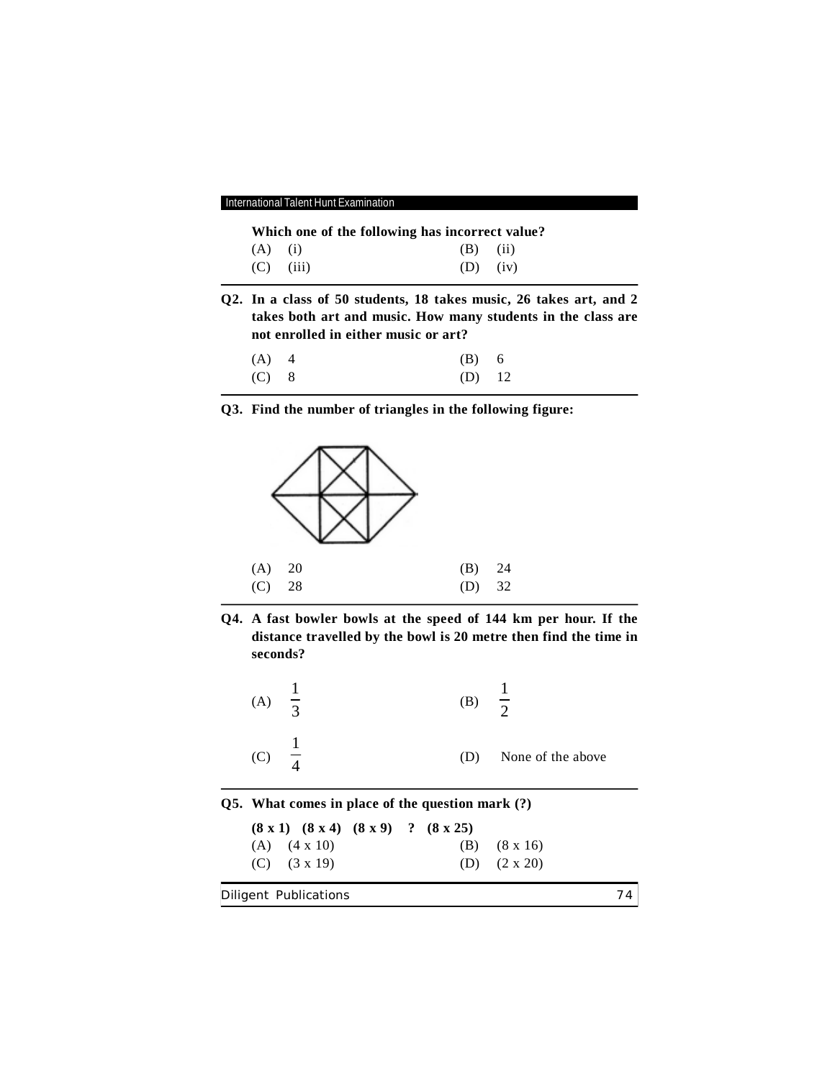| International Talent Hunt Examination |  |
|---------------------------------------|--|
|---------------------------------------|--|

| Which one of the following has incorrect value? |  |  |
|-------------------------------------------------|--|--|
|-------------------------------------------------|--|--|

| $(A)$ (i)   | $(B)$ $(ii)$ |  |
|-------------|--------------|--|
| $(C)$ (iii) | $(D)$ $(iv)$ |  |

**Q2. In a class of 50 students, 18 takes music, 26 takes art, and 2 takes both art and music. How many students in the class are not enrolled in either music or art?**

| (A) 4   | $(B)$ 6  |  |
|---------|----------|--|
| $(C)$ 8 | $(D)$ 12 |  |

**Q3. Find the number of triangles in the following figure:**



**Q4. A fast bowler bowls at the speed of 144 km per hour. If the distance travelled by the bowl is 20 metre then find the time in seconds?**

| (A) | $\overline{z}$ | (B) | $\overline{z}$    |
|-----|----------------|-----|-------------------|
| (C) |                | (D) | None of the above |

**Q5. What comes in place of the question mark (?)**

Diligent Publications 74 **(8 x 1) (8 x 4) (8 x 9) ? (8 x 25)** (A) (4 x 10) (B) (8 x 16) (C) (3 x 19) (D) (2 x 20)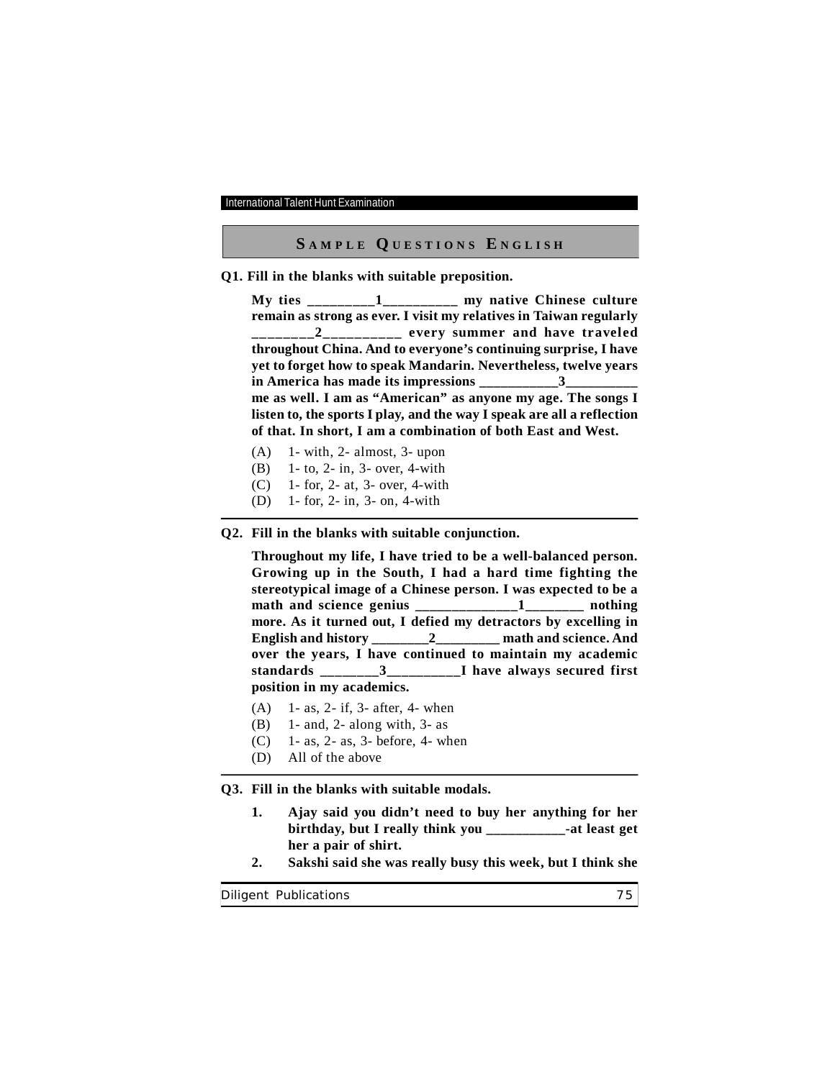## **S A M P L E Q U E S T I O N S E N G L I S H**

**Q1. Fill in the blanks with suitable preposition.**

**My ties \_\_\_\_\_\_\_\_\_1\_\_\_\_\_\_\_\_\_\_ my native Chinese culture remain as strong as ever. I visit my relatives in Taiwan regularly \_\_\_\_\_\_\_\_2\_\_\_\_\_\_\_\_\_\_ every summer and have traveled throughout China. And to everyone's continuing surprise, I have yet to forget how to speak Mandarin. Nevertheless, twelve years in America has made its impressions \_\_\_\_\_\_\_\_\_\_\_3\_\_\_\_\_\_\_\_\_\_ me as well. I am as "American" as anyone my age. The songs I listen to, the sports I play, and the way I speak are all a reflection of that. In short, I am a combination of both East and West.**

- $(A)$  1- with, 2- almost, 3- upon
- (B) 1- to, 2- in, 3- over, 4-with
- (C) 1- for, 2- at, 3- over, 4-with
- (D) 1- for, 2- in, 3- on, 4-with

## **Q2. Fill in the blanks with suitable conjunction.**

**Throughout my life, I have tried to be a well-balanced person. Growing up in the South, I had a hard time fighting the stereotypical image of a Chinese person. I was expected to be a math and science genius \_\_\_\_\_\_\_\_\_\_\_\_\_\_1\_\_\_\_\_\_\_\_ nothing more. As it turned out, I defied my detractors by excelling in English and history** 2 math and science. And **over the years, I have continued to maintain my academic standards \_\_\_\_\_\_\_\_3\_\_\_\_\_\_\_\_\_\_I have always secured first position in my academics.**

- (A) 1- as, 2- if, 3- after, 4- when
- (B) 1- and, 2- along with, 3- as
- (C) 1- as, 2- as, 3- before, 4- when
- (D) All of the above

**Q3. Fill in the blanks with suitable modals.**

- **1. Ajay said you didn't need to buy her anything for her birthday, but I really think you \_\_\_\_\_\_\_\_\_\_\_-at least get her a pair of shirt.**
- **2. Sakshi said she was really busy this week, but I think she**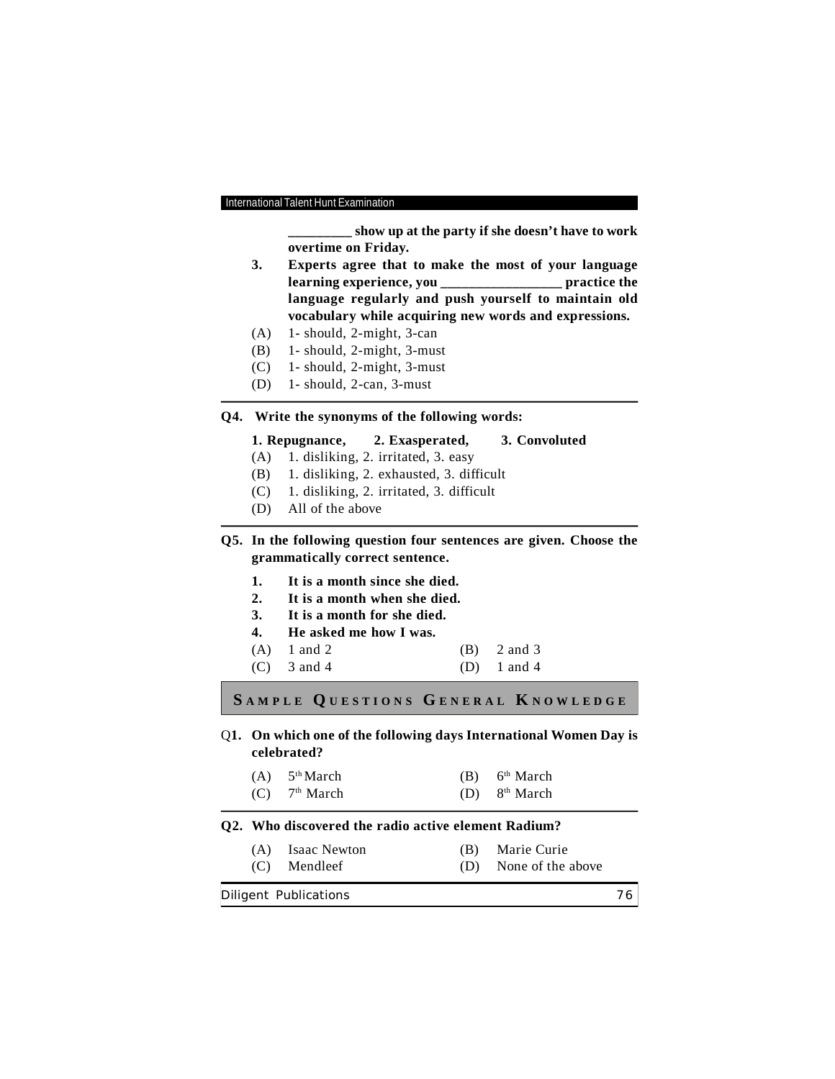**\_\_\_\_\_\_\_\_\_ show up at the party if she doesn't have to work overtime on Friday.**

- **3. Experts agree that to make the most of your language learning experience, you \_\_\_\_\_\_\_\_\_\_\_\_\_\_\_\_\_ practice the language regularly and push yourself to maintain old vocabulary while acquiring new words and expressions.**
- (A) 1- should, 2-might, 3-can
- (B) 1- should, 2-might, 3-must
- (C) 1- should, 2-might, 3-must
- (D) 1- should, 2-can, 3-must

## **Q4. Write the synonyms of the following words:**

## **1. Repugnance, 2. Exasperated, 3. Convoluted**

- (A) 1. disliking, 2. irritated, 3. easy
- (B) 1. disliking, 2. exhausted, 3. difficult
- (C) 1. disliking, 2. irritated, 3. difficult
- (D) All of the above

**Q5. In the following question four sentences are given. Choose the grammatically correct sentence.**

- **1. It is a month since she died.**
- **2. It is a month when she died.**
- **3. It is a month for she died.**
- **4. He asked me how I was.**
- (A) 1 and 2 (B) 2 and 3
- (C) 3 and 4 (D) 1 and 4

**S A M P L E Q U E S T I O N S G E N E R A L K N O W L E D G E**

Q**1. On which one of the following days International Women Day is celebrated?**

| $(A)$ 5 <sup>th</sup> March | 6 <sup>th</sup> March |
|-----------------------------|-----------------------|
|                             |                       |

 $(C)$  $7<sup>th</sup> March$  (D) 8<sup>th</sup> March

## **Q2. Who discovered the radio active element Radium?**

(A) Isaac Newton (B) Marie Curie (C) Mendleef (D) None of the above